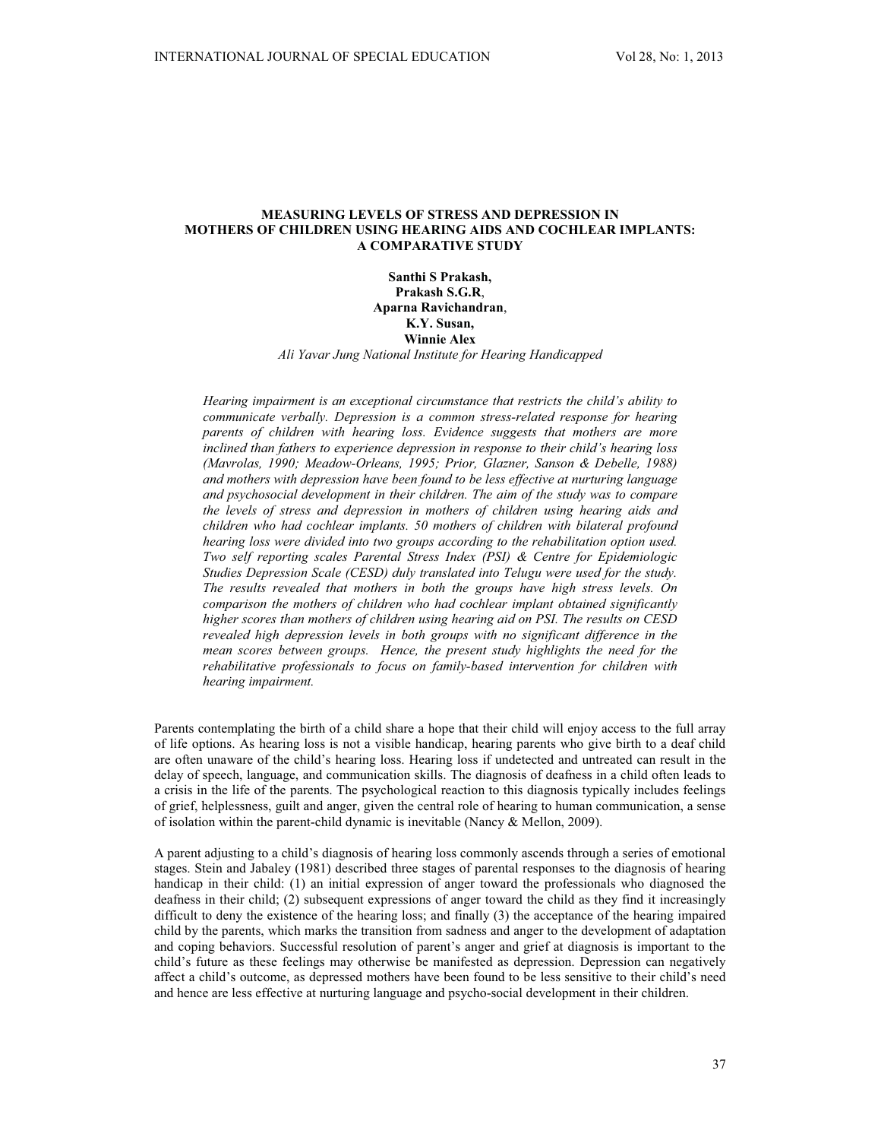# **MEASURING LEVELS OF STRESS AND DEPRESSION IN MOTHERS OF CHILDREN USING HEARING AIDS AND COCHLEAR IMPLANTS: A COMPARATIVE STUDY**

**Santhi S Prakash, Prakash S.G.R**, **Aparna Ravichandran**, **K.Y. Susan, Winnie Alex** *Ali Yavar Jung National Institute for Hearing Handicapped*

*Hearing impairment is an exceptional circumstance that restricts the child's ability to communicate verbally. Depression is a common stress-related response for hearing parents of children with hearing loss. Evidence suggests that mothers are more inclined than fathers to experience depression in response to their child's hearing loss (Mavrolas, 1990; Meadow-Orleans, 1995; Prior, Glazner, Sanson & Debelle, 1988) and mothers with depression have been found to be less effective at nurturing language and psychosocial development in their children. The aim of the study was to compare the levels of stress and depression in mothers of children using hearing aids and children who had cochlear implants. 50 mothers of children with bilateral profound hearing loss were divided into two groups according to the rehabilitation option used. Two self reporting scales Parental Stress Index (PSI) & Centre for Epidemiologic Studies Depression Scale (CESD) duly translated into Telugu were used for the study. The results revealed that mothers in both the groups have high stress levels. On comparison the mothers of children who had cochlear implant obtained significantly higher scores than mothers of children using hearing aid on PSI. The results on CESD revealed high depression levels in both groups with no significant difference in the mean scores between groups. Hence, the present study highlights the need for the rehabilitative professionals to focus on family-based intervention for children with hearing impairment.*

Parents contemplating the birth of a child share a hope that their child will enjoy access to the full array of life options. As hearing loss is not a visible handicap, hearing parents who give birth to a deaf child are often unaware of the child's hearing loss. Hearing loss if undetected and untreated can result in the delay of speech, language, and communication skills. The diagnosis of deafness in a child often leads to a crisis in the life of the parents. The psychological reaction to this diagnosis typically includes feelings of grief, helplessness, guilt and anger, given the central role of hearing to human communication, a sense of isolation within the parent-child dynamic is inevitable (Nancy & Mellon, 2009).

A parent adjusting to a child's diagnosis of hearing loss commonly ascends through a series of emotional stages. Stein and Jabaley (1981) described three stages of parental responses to the diagnosis of hearing handicap in their child: (1) an initial expression of anger toward the professionals who diagnosed the deafness in their child; (2) subsequent expressions of anger toward the child as they find it increasingly difficult to deny the existence of the hearing loss; and finally (3) the acceptance of the hearing impaired child by the parents, which marks the transition from sadness and anger to the development of adaptation and coping behaviors. Successful resolution of parent's anger and grief at diagnosis is important to the child's future as these feelings may otherwise be manifested as depression. Depression can negatively affect a child's outcome, as depressed mothers have been found to be less sensitive to their child's need and hence are less effective at nurturing language and psycho-social development in their children.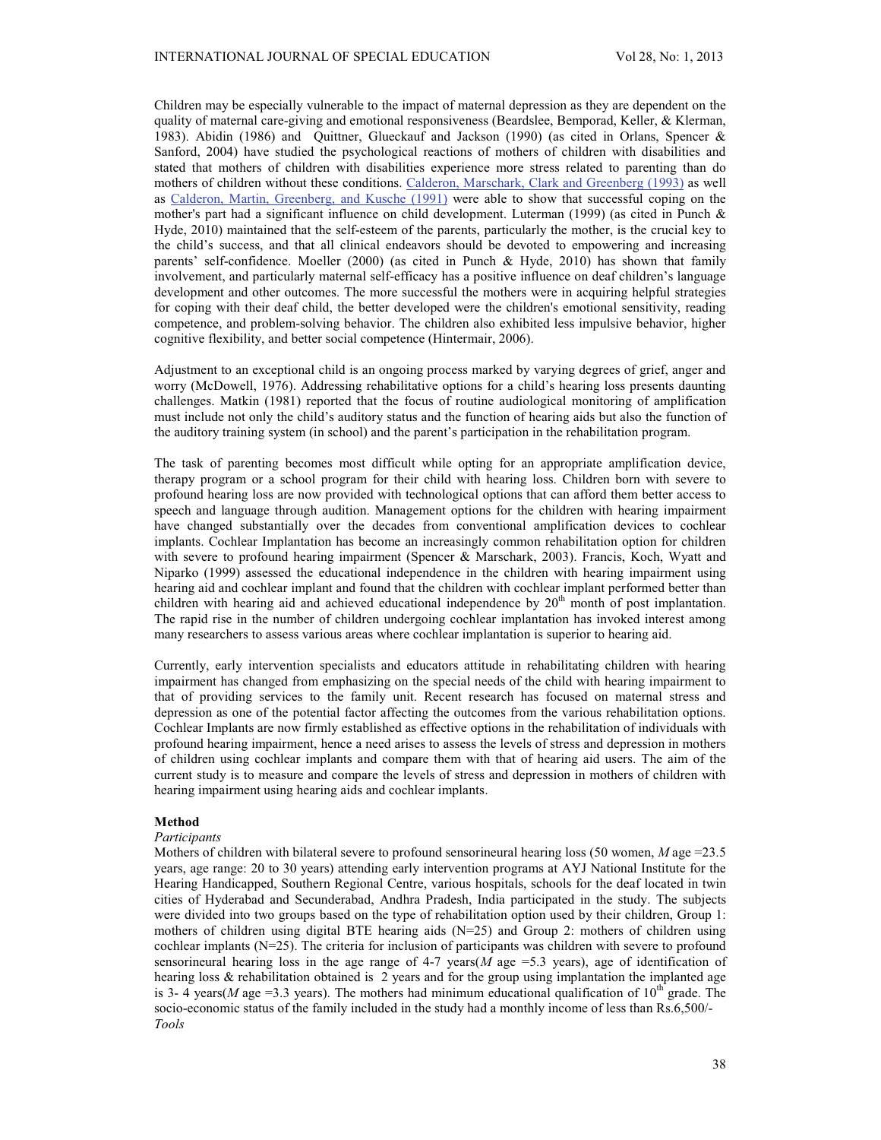Children may be especially vulnerable to the impact of maternal depression as they are dependent on the quality of maternal care-giving and emotional responsiveness (Beardslee, Bemporad, Keller, & Klerman, 1983). Abidin (1986) and Quittner, Glueckauf and Jackson (1990) (as cited in Orlans, Spencer & Sanford, 2004) have studied the psychological reactions of mothers of children with disabilities and stated that mothers of children with disabilities experience more stress related to parenting than do mothers of children without these conditions. Calderon, Marschark, Clark and Greenberg (1993) as well as Calderon, Martin, Greenberg, and Kusche (1991) were able to show that successful coping on the mother's part had a significant influence on child development. Luterman (1999) (as cited in Punch & Hyde, 2010) maintained that the self-esteem of the parents, particularly the mother, is the crucial key to the child's success, and that all clinical endeavors should be devoted to empowering and increasing parents' self-confidence. Moeller (2000) (as cited in Punch & Hyde, 2010) has shown that family involvement, and particularly maternal self-efficacy has a positive influence on deaf children's language development and other outcomes. The more successful the mothers were in acquiring helpful strategies for coping with their deaf child, the better developed were the children's emotional sensitivity, reading competence, and problem-solving behavior. The children also exhibited less impulsive behavior, higher cognitive flexibility, and better social competence (Hintermair, 2006).

Adjustment to an exceptional child is an ongoing process marked by varying degrees of grief, anger and worry (McDowell, 1976). Addressing rehabilitative options for a child's hearing loss presents daunting challenges. Matkin (1981) reported that the focus of routine audiological monitoring of amplification must include not only the child's auditory status and the function of hearing aids but also the function of the auditory training system (in school) and the parent's participation in the rehabilitation program.

The task of parenting becomes most difficult while opting for an appropriate amplification device, therapy program or a school program for their child with hearing loss. Children born with severe to profound hearing loss are now provided with technological options that can afford them better access to speech and language through audition. Management options for the children with hearing impairment have changed substantially over the decades from conventional amplification devices to cochlear implants. Cochlear Implantation has become an increasingly common rehabilitation option for children with severe to profound hearing impairment (Spencer & Marschark, 2003). Francis, Koch, Wyatt and Niparko (1999) assessed the educational independence in the children with hearing impairment using hearing aid and cochlear implant and found that the children with cochlear implant performed better than children with hearing aid and achieved educational independence by  $20<sup>th</sup>$  month of post implantation. The rapid rise in the number of children undergoing cochlear implantation has invoked interest among many researchers to assess various areas where cochlear implantation is superior to hearing aid.

Currently, early intervention specialists and educators attitude in rehabilitating children with hearing impairment has changed from emphasizing on the special needs of the child with hearing impairment to that of providing services to the family unit. Recent research has focused on maternal stress and depression as one of the potential factor affecting the outcomes from the various rehabilitation options. Cochlear Implants are now firmly established as effective options in the rehabilitation of individuals with profound hearing impairment, hence a need arises to assess the levels of stress and depression in mothers of children using cochlear implants and compare them with that of hearing aid users. The aim of the current study is to measure and compare the levels of stress and depression in mothers of children with hearing impairment using hearing aids and cochlear implants.

## **Method**

## *Participants*

Mothers of children with bilateral severe to profound sensorineural hearing loss (50 women, *M* age =23.5 years, age range: 20 to 30 years) attending early intervention programs at AYJ National Institute for the Hearing Handicapped, Southern Regional Centre, various hospitals, schools for the deaf located in twin cities of Hyderabad and Secunderabad, Andhra Pradesh, India participated in the study. The subjects were divided into two groups based on the type of rehabilitation option used by their children, Group 1: mothers of children using digital BTE hearing aids  $(N=25)$  and Group 2: mothers of children using cochlear implants (N=25). The criteria for inclusion of participants was children with severe to profound sensorineural hearing loss in the age range of 4-7 years( $M$  age =5.3 years), age of identification of hearing loss & rehabilitation obtained is 2 years and for the group using implantation the implanted age is 3- 4 years(*M* age =3.3 years). The mothers had minimum educational qualification of  $10^{th}$  grade. The socio-economic status of the family included in the study had a monthly income of less than Rs.6,500/- *Tools*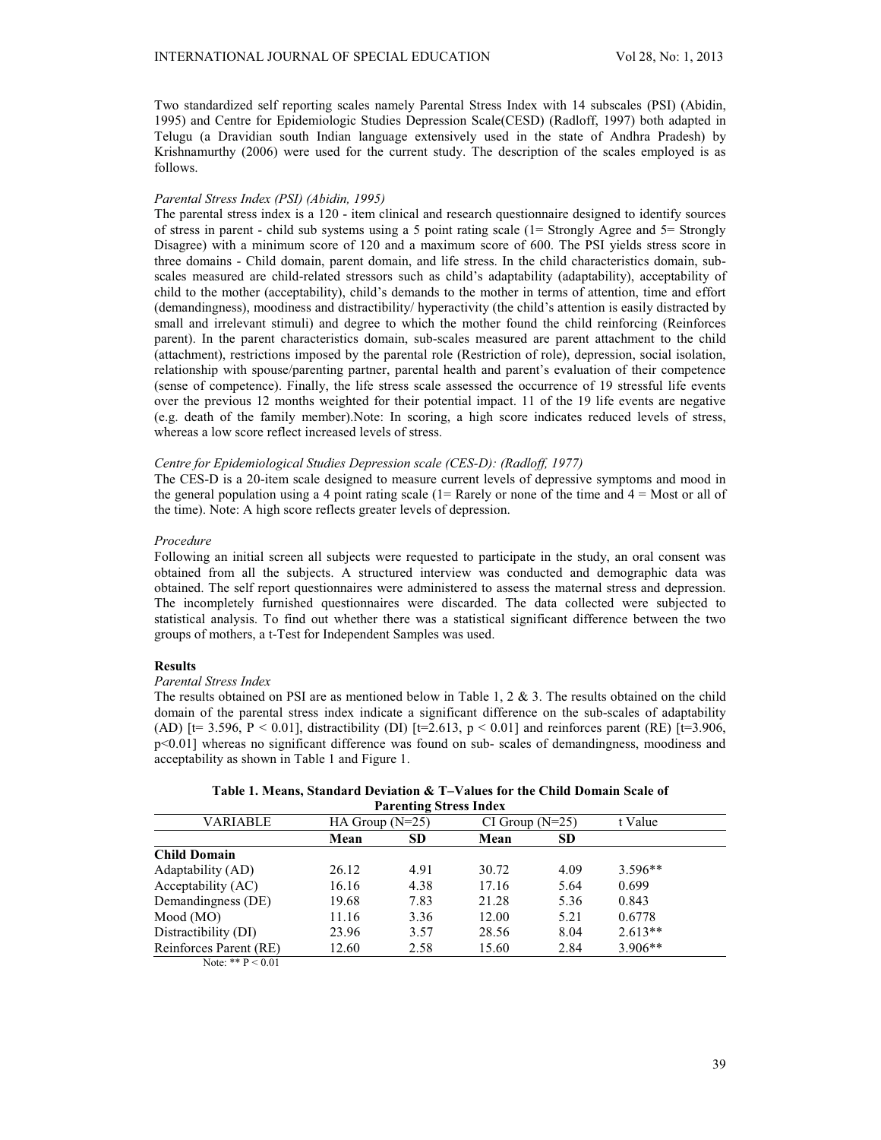Two standardized self reporting scales namely Parental Stress Index with 14 subscales (PSI) (Abidin, 1995) and Centre for Epidemiologic Studies Depression Scale(CESD) (Radloff, 1997) both adapted in Telugu (a Dravidian south Indian language extensively used in the state of Andhra Pradesh) by Krishnamurthy (2006) were used for the current study. The description of the scales employed is as follows.

## *Parental Stress Index (PSI) (Abidin, 1995)*

The parental stress index is a 120 - item clinical and research questionnaire designed to identify sources of stress in parent - child sub systems using a 5 point rating scale (1= Strongly Agree and 5= Strongly Disagree) with a minimum score of 120 and a maximum score of 600. The PSI yields stress score in three domains - Child domain, parent domain, and life stress. In the child characteristics domain, subscales measured are child-related stressors such as child's adaptability (adaptability), acceptability of child to the mother (acceptability), child's demands to the mother in terms of attention, time and effort (demandingness), moodiness and distractibility/ hyperactivity (the child's attention is easily distracted by small and irrelevant stimuli) and degree to which the mother found the child reinforcing (Reinforces parent). In the parent characteristics domain, sub-scales measured are parent attachment to the child (attachment), restrictions imposed by the parental role (Restriction of role), depression, social isolation, relationship with spouse/parenting partner, parental health and parent's evaluation of their competence (sense of competence). Finally, the life stress scale assessed the occurrence of 19 stressful life events over the previous 12 months weighted for their potential impact. 11 of the 19 life events are negative (e.g. death of the family member).Note: In scoring, a high score indicates reduced levels of stress, whereas a low score reflect increased levels of stress.

### *Centre for Epidemiological Studies Depression scale (CES-D): (Radloff, 1977)*

The CES-D is a 20-item scale designed to measure current levels of depressive symptoms and mood in the general population using a 4 point rating scale  $(1=$  Rarely or none of the time and  $4 =$  Most or all of the time). Note: A high score reflects greater levels of depression.

### *Procedure*

Following an initial screen all subjects were requested to participate in the study, an oral consent was obtained from all the subjects. A structured interview was conducted and demographic data was obtained. The self report questionnaires were administered to assess the maternal stress and depression. The incompletely furnished questionnaires were discarded. The data collected were subjected to statistical analysis. To find out whether there was a statistical significant difference between the two groups of mothers, a t-Test for Independent Samples was used.

# **Results**

# *Parental Stress Index*

The results obtained on PSI are as mentioned below in Table 1, 2 & 3. The results obtained on the child domain of the parental stress index indicate a significant difference on the sub-scales of adaptability (AD) [t= 3.596, P < 0.01], distractibility (DI) [t=2.613, p < 0.01] and reinforces parent (RE) [t=3.906, p<0.01] whereas no significant difference was found on sub- scales of demandingness, moodiness and acceptability as shown in Table 1 and Figure 1.

**Table 1. Means, Standard Deviation & T–Values for the Child Domain Scale of Parenting Stress Index**

|                        |                   | T al chung ou cas muca |                     |           |           |  |
|------------------------|-------------------|------------------------|---------------------|-----------|-----------|--|
| VARIABLE               | HA Group $(N=25)$ |                        | $CI$ Group $(N=25)$ |           | t Value   |  |
|                        | Mean              | <b>SD</b>              | Mean                | <b>SD</b> |           |  |
| <b>Child Domain</b>    |                   |                        |                     |           |           |  |
| Adaptability (AD)      | 26.12             | 4.91                   | 30.72               | 4.09      | $3.596**$ |  |
| Acceptability (AC)     | 16.16             | 4.38                   | 17.16               | 5.64      | 0.699     |  |
| Demandingness (DE)     | 19.68             | 7.83                   | 21.28               | 5.36      | 0.843     |  |
| Mod(MO)                | 11.16             | 3.36                   | 12.00               | 5.21      | 0.6778    |  |
| Distractibility (DI)   | 23.96             | 3.57                   | 28.56               | 8.04      | $2.613**$ |  |
| Reinforces Parent (RE) | 12.60             | 2.58                   | 15.60               | 2.84      | $3.906**$ |  |
|                        |                   |                        |                     |           |           |  |

Note: \*\*  $P < 0.01$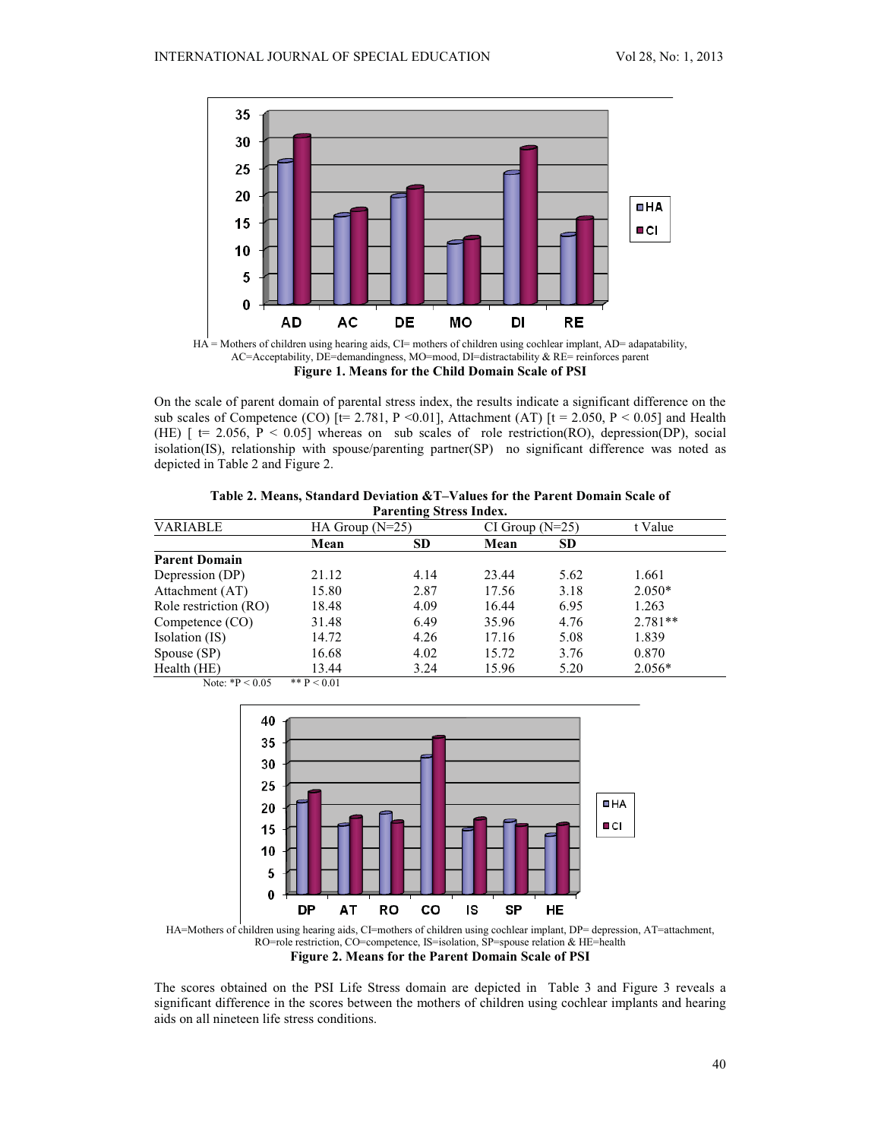

AC=Acceptability, DE=demandingness, MO=mood, DI=distractability & RE= reinforces parent **Figure 1. Means for the Child Domain Scale of PSI**

On the scale of parent domain of parental stress index, the results indicate a significant difference on the sub scales of Competence (CO)  $[t= 2.781, P \le 0.01]$ , Attachment (AT)  $[t = 2.050, P \le 0.05]$  and Health (HE)  $[$  t= 2.056, P < 0.05] whereas on sub scales of role restriction(RO), depression(DP), social isolation(IS), relationship with spouse/parenting partner(SP) no significant difference was noted as depicted in Table 2 and Figure 2.

| Parenting Stress Index. |                   |           |                     |           |           |  |
|-------------------------|-------------------|-----------|---------------------|-----------|-----------|--|
| <b>VARIABLE</b>         | HA Group $(N=25)$ |           | $CI$ Group $(N=25)$ |           | t Value   |  |
|                         | Mean              | <b>SD</b> | Mean                | <b>SD</b> |           |  |
| <b>Parent Domain</b>    |                   |           |                     |           |           |  |
| Depression (DP)         | 21.12             | 4.14      | 23.44               | 5.62      | 1.661     |  |
| Attachment (AT)         | 15.80             | 2.87      | 17.56               | 3.18      | $2.050*$  |  |
| Role restriction (RO)   | 18.48             | 4.09      | 16.44               | 6.95      | 1.263     |  |
| Competence (CO)         | 31.48             | 6.49      | 35.96               | 4.76      | $2.781**$ |  |
| Isolation (IS)          | 14.72             | 4.26      | 17.16               | 5.08      | 1.839     |  |
| Spouse (SP)             | 16.68             | 4.02      | 15.72               | 3.76      | 0.870     |  |
| Health (HE)             | 13.44             | 3.24      | 15.96               | 5.20      | $2.056*$  |  |
| Note: $*P < 0.05$       | ** $P < 0.01$     |           |                     |           |           |  |

**Table 2. Means, Standard Deviation &T–Values for the Parent Domain Scale of Parenting Stress Index.**





The scores obtained on the PSI Life Stress domain are depicted in Table 3 and Figure 3 reveals a significant difference in the scores between the mothers of children using cochlear implants and hearing aids on all nineteen life stress conditions.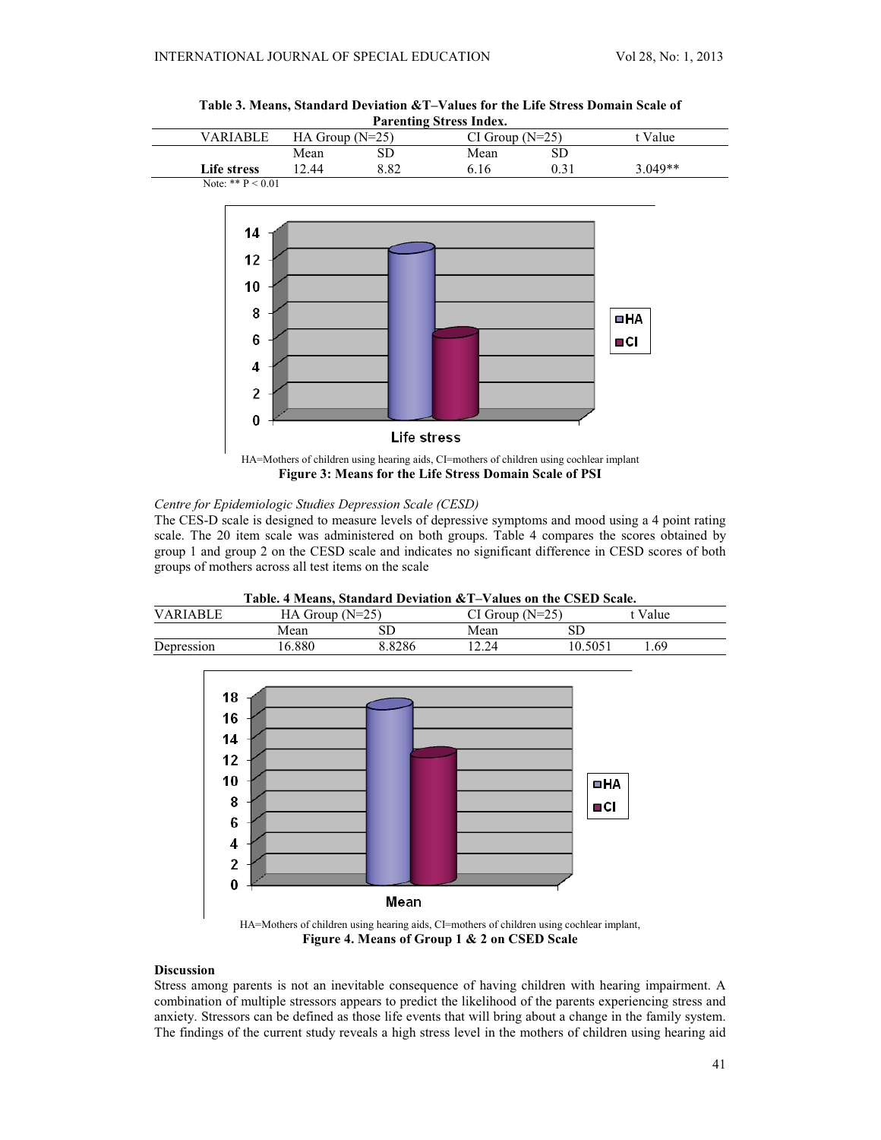

**Table 3. Means, Standard Deviation &T–Values for the Life Stress Domain Scale of**



## *Centre for Epidemiologic Studies Depression Scale (CESD)*

The CES-D scale is designed to measure levels of depressive symptoms and mood using a 4 point rating scale. The 20 item scale was administered on both groups. Table 4 compares the scores obtained by group 1 and group 2 on the CESD scale and indicates no significant difference in CESD scores of both groups of mothers across all test items on the scale

| Table. 4 Means. Standard Deviation & T-Values on the CSED Scale. |                   |        |                   |         |         |  |  |
|------------------------------------------------------------------|-------------------|--------|-------------------|---------|---------|--|--|
| <b>VARIARLE</b>                                                  | HA Group $(N=25)$ |        | $CI Group (N=25)$ |         | t Value |  |  |
|                                                                  | Mean              |        | Mean              |         |         |  |  |
| Depression                                                       | 16.880            | 8.8286 | 12 24             | 10.5051 | -69     |  |  |





**Figure 4. Means of Group 1 & 2 on CSED Scale**

# **Discussion**

Stress among parents is not an inevitable consequence of having children with hearing impairment. A combination of multiple stressors appears to predict the likelihood of the parents experiencing stress and anxiety. Stressors can be defined as those life events that will bring about a change in the family system. The findings of the current study reveals a high stress level in the mothers of children using hearing aid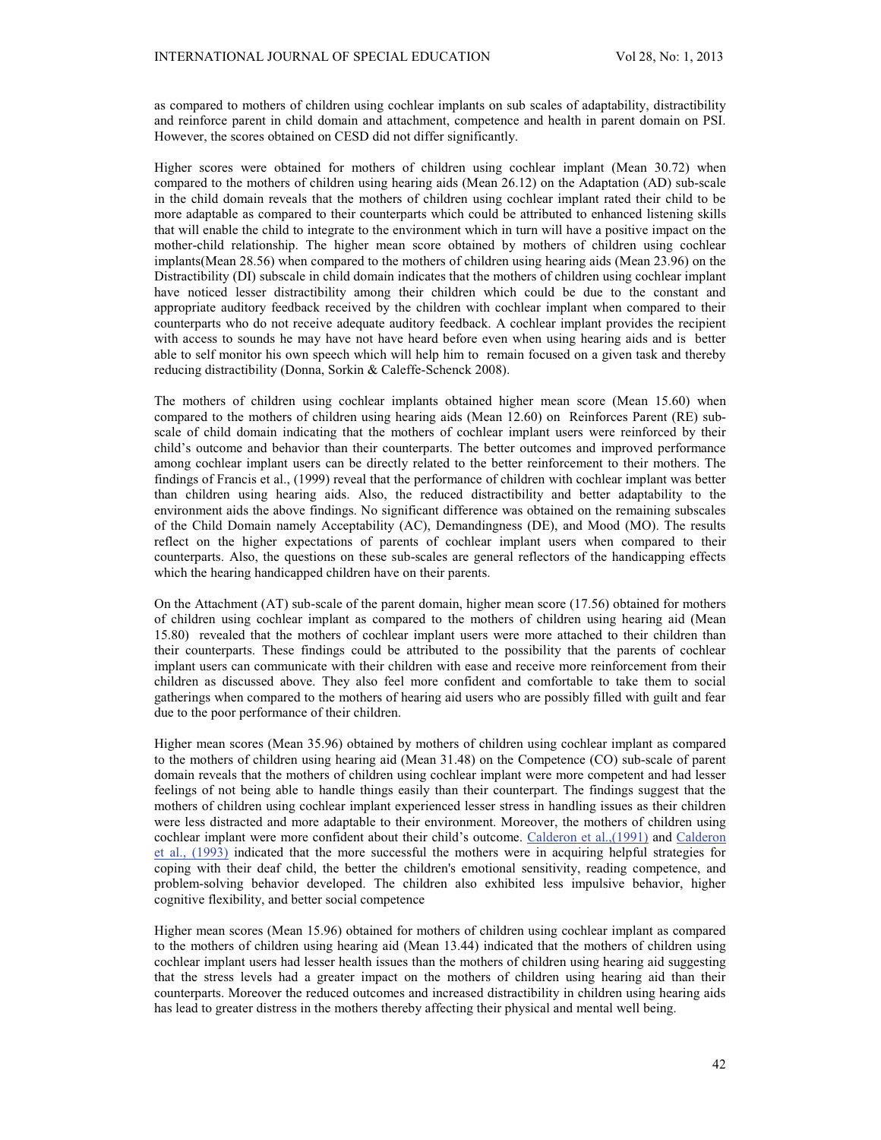as compared to mothers of children using cochlear implants on sub scales of adaptability, distractibility and reinforce parent in child domain and attachment, competence and health in parent domain on PSI. However, the scores obtained on CESD did not differ significantly.

Higher scores were obtained for mothers of children using cochlear implant (Mean 30.72) when compared to the mothers of children using hearing aids (Mean 26.12) on the Adaptation (AD) sub-scale in the child domain reveals that the mothers of children using cochlear implant rated their child to be more adaptable as compared to their counterparts which could be attributed to enhanced listening skills that will enable the child to integrate to the environment which in turn will have a positive impact on the mother-child relationship. The higher mean score obtained by mothers of children using cochlear implants(Mean 28.56) when compared to the mothers of children using hearing aids (Mean 23.96) on the Distractibility (DI) subscale in child domain indicates that the mothers of children using cochlear implant have noticed lesser distractibility among their children which could be due to the constant and appropriate auditory feedback received by the children with cochlear implant when compared to their counterparts who do not receive adequate auditory feedback. A cochlear implant provides the recipient with access to sounds he may have not have heard before even when using hearing aids and is better able to self monitor his own speech which will help him to remain focused on a given task and thereby reducing distractibility (Donna, Sorkin & Caleffe-Schenck 2008).

The mothers of children using cochlear implants obtained higher mean score (Mean 15.60) when compared to the mothers of children using hearing aids (Mean 12.60) on Reinforces Parent (RE) subscale of child domain indicating that the mothers of cochlear implant users were reinforced by their child's outcome and behavior than their counterparts. The better outcomes and improved performance among cochlear implant users can be directly related to the better reinforcement to their mothers. The findings of Francis et al., (1999) reveal that the performance of children with cochlear implant was better than children using hearing aids. Also, the reduced distractibility and better adaptability to the environment aids the above findings. No significant difference was obtained on the remaining subscales of the Child Domain namely Acceptability (AC), Demandingness (DE), and Mood (MO). The results reflect on the higher expectations of parents of cochlear implant users when compared to their counterparts. Also, the questions on these sub-scales are general reflectors of the handicapping effects which the hearing handicapped children have on their parents.

On the Attachment (AT) sub-scale of the parent domain, higher mean score (17.56) obtained for mothers of children using cochlear implant as compared to the mothers of children using hearing aid (Mean 15.80) revealed that the mothers of cochlear implant users were more attached to their children than their counterparts. These findings could be attributed to the possibility that the parents of cochlear implant users can communicate with their children with ease and receive more reinforcement from their children as discussed above. They also feel more confident and comfortable to take them to social gatherings when compared to the mothers of hearing aid users who are possibly filled with guilt and fear due to the poor performance of their children.

Higher mean scores (Mean 35.96) obtained by mothers of children using cochlear implant as compared to the mothers of children using hearing aid (Mean 31.48) on the Competence (CO) sub-scale of parent domain reveals that the mothers of children using cochlear implant were more competent and had lesser feelings of not being able to handle things easily than their counterpart. The findings suggest that the mothers of children using cochlear implant experienced lesser stress in handling issues as their children were less distracted and more adaptable to their environment. Moreover, the mothers of children using cochlear implant were more confident about their child's outcome. Calderon et al.,(1991) and Calderon et al., (1993) indicated that the more successful the mothers were in acquiring helpful strategies for coping with their deaf child, the better the children's emotional sensitivity, reading competence, and problem-solving behavior developed. The children also exhibited less impulsive behavior, higher cognitive flexibility, and better social competence

Higher mean scores (Mean 15.96) obtained for mothers of children using cochlear implant as compared to the mothers of children using hearing aid (Mean 13.44) indicated that the mothers of children using cochlear implant users had lesser health issues than the mothers of children using hearing aid suggesting that the stress levels had a greater impact on the mothers of children using hearing aid than their counterparts. Moreover the reduced outcomes and increased distractibility in children using hearing aids has lead to greater distress in the mothers thereby affecting their physical and mental well being.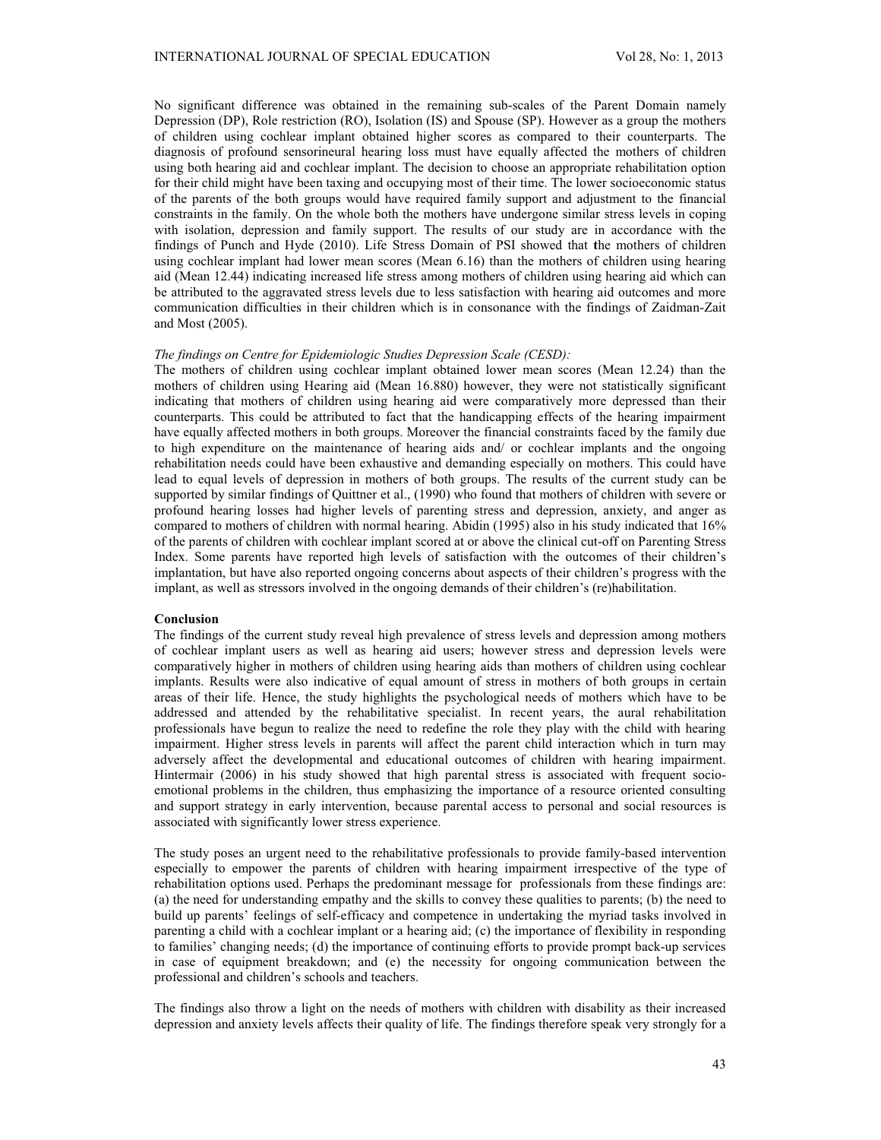No significant difference was obtained in the remaining sub-scales of the Parent Domain namely Depression (DP), Role restriction (RO), Isolation (IS) and Spouse (SP). However as a group the mothers of children using cochlear implant obtained higher scores as compared to their counterparts. The diagnosis of profound sensorineural hearing loss must have equally affected the mothers of children using both hearing aid and cochlear implant. The decision to choose an appropriate rehabilitation option for their child might have been taxing and occupying most of their time. The lower socioeconomic status of the parents of the both groups would have required family support and adjustment to the financial constraints in the family. On the whole both the mothers have undergone similar stress levels in coping with isolation, depression and family support. The results of our study are in accordance with the findings of Punch and Hyde (2010). Life Stress Domain of PSI showed that **t**he mothers of children using cochlear implant had lower mean scores (Mean 6.16) than the mothers of children using hearing aid (Mean 12.44) indicating increased life stress among mothers of children using hearing aid which can be attributed to the aggravated stress levels due to less satisfaction with hearing aid outcomes and more communication difficulties in their children which is in consonance with the findings of Zaidman-Zait and Most (2005).

### *The findings on Centre for Epidemiologic Studies Depression Scale (CESD):*

The mothers of children using cochlear implant obtained lower mean scores (Mean 12.24) than the mothers of children using Hearing aid (Mean 16.880) however, they were not statistically significant indicating that mothers of children using hearing aid were comparatively more depressed than their counterparts. This could be attributed to fact that the handicapping effects of the hearing impairment have equally affected mothers in both groups. Moreover the financial constraints faced by the family due to high expenditure on the maintenance of hearing aids and/ or cochlear implants and the ongoing rehabilitation needs could have been exhaustive and demanding especially on mothers. This could have lead to equal levels of depression in mothers of both groups. The results of the current study can be supported by similar findings of Quittner et al., (1990) who found that mothers of children with severe or profound hearing losses had higher levels of parenting stress and depression, anxiety, and anger as compared to mothers of children with normal hearing. Abidin (1995) also in his study indicated that 16% of the parents of children with cochlear implant scored at or above the clinical cut-off on Parenting Stress Index. Some parents have reported high levels of satisfaction with the outcomes of their children's implantation, but have also reported ongoing concerns about aspects of their children's progress with the implant, as well as stressors involved in the ongoing demands of their children's (re)habilitation.

## **Conclusion**

The findings of the current study reveal high prevalence of stress levels and depression among mothers of cochlear implant users as well as hearing aid users; however stress and depression levels were comparatively higher in mothers of children using hearing aids than mothers of children using cochlear implants. Results were also indicative of equal amount of stress in mothers of both groups in certain areas of their life. Hence, the study highlights the psychological needs of mothers which have to be addressed and attended by the rehabilitative specialist. In recent years, the aural rehabilitation professionals have begun to realize the need to redefine the role they play with the child with hearing impairment. Higher stress levels in parents will affect the parent child interaction which in turn may adversely affect the developmental and educational outcomes of children with hearing impairment. Hintermair (2006) in his study showed that high parental stress is associated with frequent socioemotional problems in the children, thus emphasizing the importance of a resource oriented consulting and support strategy in early intervention, because parental access to personal and social resources is associated with significantly lower stress experience.

The study poses an urgent need to the rehabilitative professionals to provide family-based intervention especially to empower the parents of children with hearing impairment irrespective of the type of rehabilitation options used. Perhaps the predominant message for professionals from these findings are: (a) the need for understanding empathy and the skills to convey these qualities to parents; (b) the need to build up parents' feelings of self-efficacy and competence in undertaking the myriad tasks involved in parenting a child with a cochlear implant or a hearing aid; (c) the importance of flexibility in responding to families' changing needs; (d) the importance of continuing efforts to provide prompt back-up services in case of equipment breakdown; and (e) the necessity for ongoing communication between the professional and children's schools and teachers.

The findings also throw a light on the needs of mothers with children with disability as their increased depression and anxiety levels affects their quality of life. The findings therefore speak very strongly for a